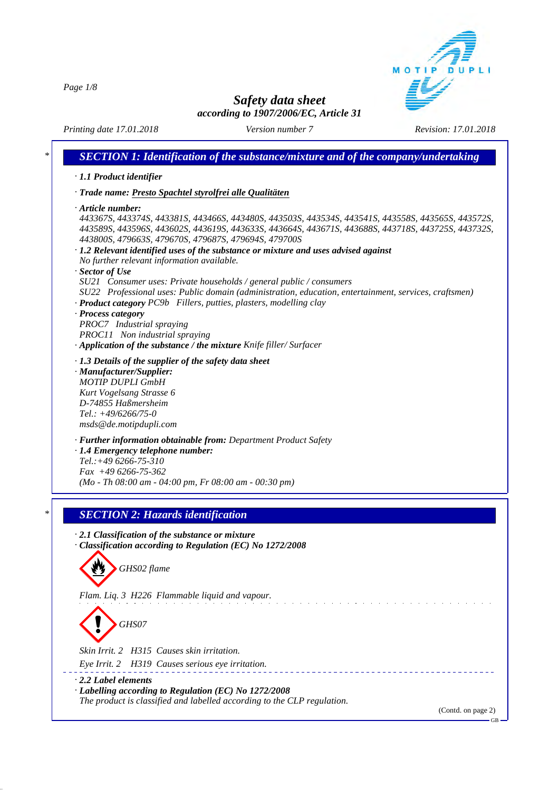*Page 1/8*



## *Safety data sheet according to 1907/2006/EC, Article 31*

*Printing date 17.01.2018 Version number 7 Revision: 17.01.2018*

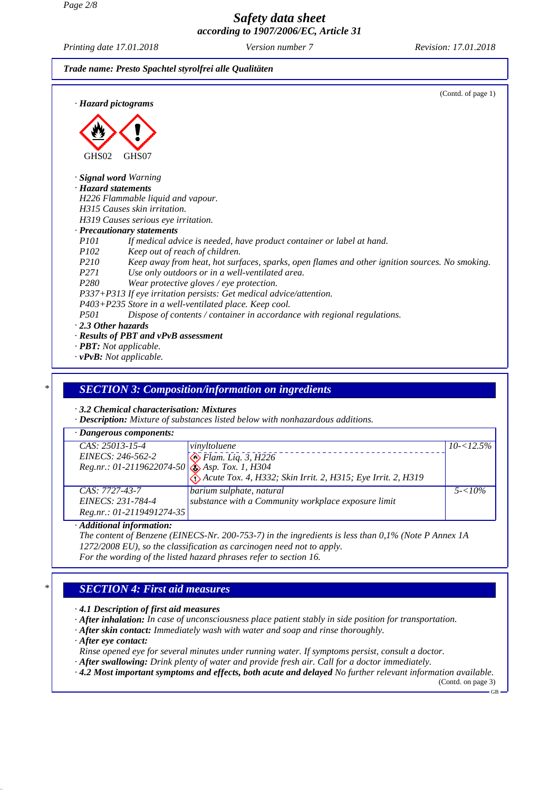*Printing date 17.01.2018 Version number 7 Revision: 17.01.2018*





*· vPvB: Not applicable.*

#### *\* SECTION 3: Composition/information on ingredients*

*· 3.2 Chemical characterisation: Mixtures*

*· Description: Mixture of substances listed below with nonhazardous additions.*

| $\cdot$ Dangerous components:                                                            |                                                             |               |
|------------------------------------------------------------------------------------------|-------------------------------------------------------------|---------------|
| $CAS: 25013-15-4$                                                                        | vinvltoluene                                                | $10 - 12.5\%$ |
|                                                                                          |                                                             |               |
| EINECS: 246-562-2<br>Reg.nr.: 01-2119622074-50<br>$\bigotimes_{Asp.}$ Flam. Liq. 3, H226 |                                                             |               |
|                                                                                          | Acute Tox. 4, H332; Skin Irrit. 2, H315; Eye Irrit. 2, H319 |               |
| CAS: 7727-43-7                                                                           | barium sulphate, natural                                    | $5 - 10\%$    |
| EINECS: 231-784-4                                                                        | substance with a Community workplace exposure limit         |               |
| Reg.nr.: 01-2119491274-35                                                                |                                                             |               |

#### *· Additional information:*

*The content of Benzene (EINECS-Nr. 200-753-7) in the ingredients is less than 0,1% (Note P Annex 1A 1272/2008 EU), so the classification as carcinogen need not to apply.*

*For the wording of the listed hazard phrases refer to section 16.*

#### *\* SECTION 4: First aid measures*

*· 4.1 Description of first aid measures*

*· After inhalation: In case of unconsciousness place patient stably in side position for transportation.*

*· After skin contact: Immediately wash with water and soap and rinse thoroughly.*

*· After eye contact:*

*Rinse opened eye for several minutes under running water. If symptoms persist, consult a doctor.*

*· After swallowing: Drink plenty of water and provide fresh air. Call for a doctor immediately.*

*· 4.2 Most important symptoms and effects, both acute and delayed No further relevant information available.*

(Contd. on page 3) GB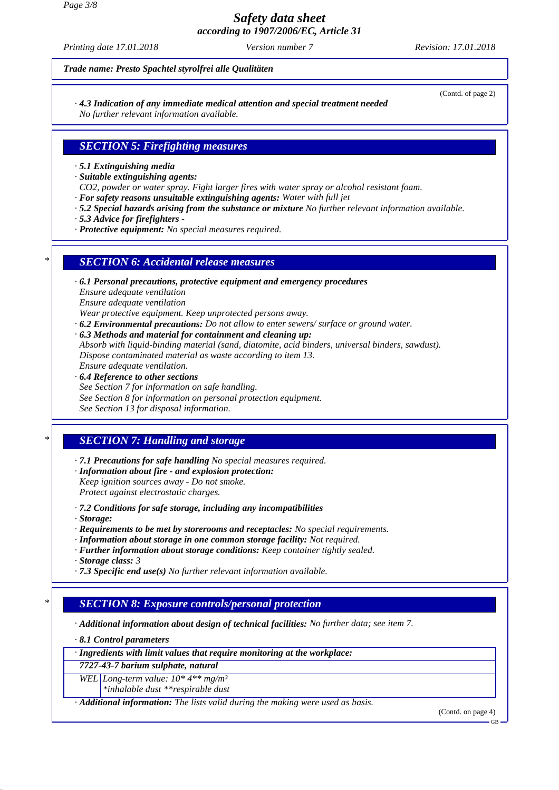*Page 3/8*

*Safety data sheet according to 1907/2006/EC, Article 31*

*Printing date 17.01.2018 Version number 7 Revision: 17.01.2018*

*Trade name: Presto Spachtel styrolfrei alle Qualitäten*

*· 4.3 Indication of any immediate medical attention and special treatment needed No further relevant information available.*

- 
- *SECTION 5: Firefighting measures*
- *· 5.1 Extinguishing media*
- *· Suitable extinguishing agents:*
- *CO2, powder or water spray. Fight larger fires with water spray or alcohol resistant foam.*
- *· For safety reasons unsuitable extinguishing agents: Water with full jet*
- *· 5.2 Special hazards arising from the substance or mixture No further relevant information available.*
- *· 5.3 Advice for firefighters*
- *· Protective equipment: No special measures required.*

## *\* SECTION 6: Accidental release measures*

- *· 6.1 Personal precautions, protective equipment and emergency procedures Ensure adequate ventilation Ensure adequate ventilation Wear protective equipment. Keep unprotected persons away.*
- *· 6.2 Environmental precautions: Do not allow to enter sewers/ surface or ground water. · 6.3 Methods and material for containment and cleaning up: Absorb with liquid-binding material (sand, diatomite, acid binders, universal binders, sawdust). Dispose contaminated material as waste according to item 13. Ensure adequate ventilation.*
- *· 6.4 Reference to other sections See Section 7 for information on safe handling. See Section 8 for information on personal protection equipment. See Section 13 for disposal information.*

# *\* SECTION 7: Handling and storage*

*· 7.1 Precautions for safe handling No special measures required.*

- *· Information about fire and explosion protection: Keep ignition sources away - Do not smoke. Protect against electrostatic charges.*
- *· 7.2 Conditions for safe storage, including any incompatibilities*
- *· Storage:*
- *· Requirements to be met by storerooms and receptacles: No special requirements.*
- *· Information about storage in one common storage facility: Not required.*
- *· Further information about storage conditions: Keep container tightly sealed.*
- *· Storage class: 3*
- *· 7.3 Specific end use(s) No further relevant information available.*

## *\* SECTION 8: Exposure controls/personal protection*

*· Additional information about design of technical facilities: No further data; see item 7.*

*· 8.1 Control parameters*

*· Ingredients with limit values that require monitoring at the workplace:*

*7727-43-7 barium sulphate, natural*

*WEL Long-term value: 10\* 4\*\* mg/m³ \*inhalable dust \*\*respirable dust*

*· Additional information: The lists valid during the making were used as basis.*

(Contd. on page 4)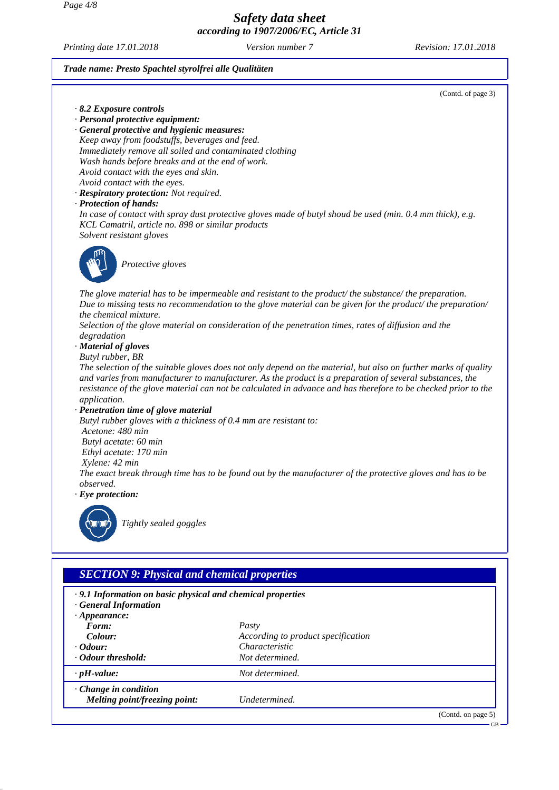*Page 4/8*

*Safety data sheet according to 1907/2006/EC, Article 31*

*Printing date 17.01.2018 Version number 7 Revision: 17.01.2018*

GB

#### *Trade name: Presto Spachtel styrolfrei alle Qualitäten*

(Contd. of page 3) *· 8.2 Exposure controls · Personal protective equipment: · General protective and hygienic measures: Keep away from foodstuffs, beverages and feed. Immediately remove all soiled and contaminated clothing Wash hands before breaks and at the end of work. Avoid contact with the eyes and skin. Avoid contact with the eyes. · Respiratory protection: Not required. · Protection of hands: In case of contact with spray dust protective gloves made of butyl shoud be used (min. 0.4 mm thick), e.g. KCL Camatril, article no. 898 or similar products Solvent resistant gloves Protective gloves The glove material has to be impermeable and resistant to the product/ the substance/ the preparation. Due to missing tests no recommendation to the glove material can be given for the product/ the preparation/ the chemical mixture. Selection of the glove material on consideration of the penetration times, rates of diffusion and the degradation · Material of gloves Butyl rubber, BR The selection of the suitable gloves does not only depend on the material, but also on further marks of quality and varies from manufacturer to manufacturer. As the product is a preparation of several substances, the resistance of the glove material can not be calculated in advance and has therefore to be checked prior to the application. · Penetration time of glove material Butyl rubber gloves with a thickness of 0.4 mm are resistant to: Acetone: 480 min Butyl acetate: 60 min Ethyl acetate: 170 min Xylene: 42 min The exact break through time has to be found out by the manufacturer of the protective gloves and has to be observed. · Eye protection:*



*Tightly sealed goggles*

## *SECTION 9: Physical and chemical properties*

| $\cdot$ 9.1 Information on basic physical and chemical properties<br><b>General Information</b> |                                    |                    |
|-------------------------------------------------------------------------------------------------|------------------------------------|--------------------|
| $\cdot$ Appearance:                                                                             |                                    |                    |
| Form:                                                                                           | Pasty                              |                    |
| Colour:                                                                                         | According to product specification |                    |
| $\cdot$ Odour:                                                                                  | Characteristic                     |                    |
| Odour threshold:                                                                                | Not determined.                    |                    |
| $\cdot$ pH-value:                                                                               | Not determined.                    |                    |
| $\cdot$ Change in condition<br>Melting point/freezing point:                                    | Undetermined.                      |                    |
|                                                                                                 |                                    | (Contd. on page 5) |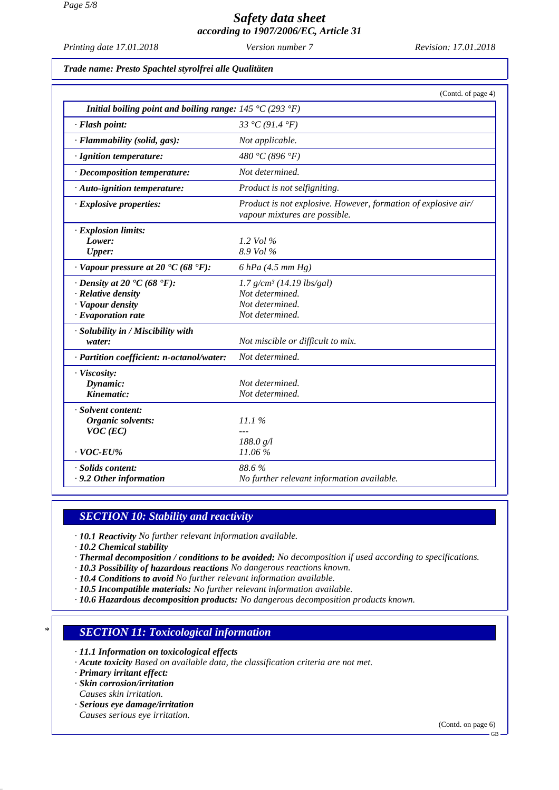*Printing date 17.01.2018 Version number 7 Revision: 17.01.2018*

*Trade name: Presto Spachtel styrolfrei alle Qualitäten*

|                                                                                                                             | (Contd. of page 4)                                                                               |
|-----------------------------------------------------------------------------------------------------------------------------|--------------------------------------------------------------------------------------------------|
| Initial boiling point and boiling range: $145 \degree C (293 \degree F)$                                                    |                                                                                                  |
| · Flash point:                                                                                                              | 33 °C (91.4 °F)                                                                                  |
| · Flammability (solid, gas):                                                                                                | Not applicable.                                                                                  |
| · Ignition temperature:                                                                                                     | 480 °C (896 °F)                                                                                  |
| · Decomposition temperature:                                                                                                | Not determined.                                                                                  |
| · Auto-ignition temperature:                                                                                                | Product is not selfigniting.                                                                     |
| $\cdot$ Explosive properties:                                                                                               | Product is not explosive. However, formation of explosive air/<br>vapour mixtures are possible.  |
| · Explosion limits:<br>Lower:<br><b>Upper:</b>                                                                              | 1.2 Vol $\%$<br>8.9 Vol %                                                                        |
| $\cdot$ Vapour pressure at 20 $\cdot$ C (68 $\cdot$ F):                                                                     | $6$ hPa (4.5 mm Hg)                                                                              |
| $\cdot$ Density at 20 $\cdot$ C (68 $\cdot$ F):<br>$\cdot$ Relative density<br>· Vapour density<br>$\cdot$ Evaporation rate | $1.7$ g/cm <sup>3</sup> (14.19 lbs/gal)<br>Not determined.<br>Not determined.<br>Not determined. |
| · Solubility in / Miscibility with<br>water:                                                                                | Not miscible or difficult to mix.                                                                |
| · Partition coefficient: n-octanol/water:                                                                                   | Not determined.                                                                                  |
| · Viscosity:<br>Dynamic:<br>Kinematic:                                                                                      | Not determined.<br>Not determined.                                                               |
| · Solvent content:<br>Organic solvents:<br>$VOC$ (EC)                                                                       | 11.1%                                                                                            |
| $\cdot$ VOC-EU%                                                                                                             | 188.0 g/l<br>11.06 %                                                                             |
| · Solids content:<br>.9.2 Other information                                                                                 | 88.6%<br>No further relevant information available.                                              |

### *SECTION 10: Stability and reactivity*

*· 10.1 Reactivity No further relevant information available.*

*· 10.2 Chemical stability*

- *· Thermal decomposition / conditions to be avoided: No decomposition if used according to specifications.*
- *· 10.3 Possibility of hazardous reactions No dangerous reactions known.*
- *· 10.4 Conditions to avoid No further relevant information available.*
- *· 10.5 Incompatible materials: No further relevant information available.*
- *· 10.6 Hazardous decomposition products: No dangerous decomposition products known.*

#### *\* SECTION 11: Toxicological information*

*· 11.1 Information on toxicological effects*

*· Acute toxicity Based on available data, the classification criteria are not met.*

*· Primary irritant effect:*

*· Skin corrosion/irritation*

- *Causes skin irritation.*
- *· Serious eye damage/irritation*
- *Causes serious eye irritation.*

(Contd. on page 6)

GB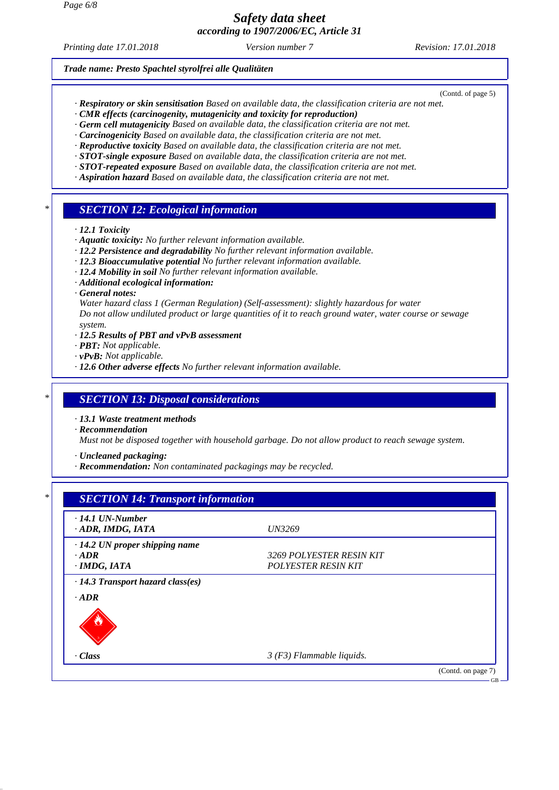*Printing date 17.01.2018 Version number 7 Revision: 17.01.2018*

(Contd. of page 5)

*Trade name: Presto Spachtel styrolfrei alle Qualitäten*

- *· Respiratory or skin sensitisation Based on available data, the classification criteria are not met.*
- *· CMR effects (carcinogenity, mutagenicity and toxicity for reproduction)*
- *· Germ cell mutagenicity Based on available data, the classification criteria are not met.*
- *· Carcinogenicity Based on available data, the classification criteria are not met.*
- *· Reproductive toxicity Based on available data, the classification criteria are not met.*
- *· STOT-single exposure Based on available data, the classification criteria are not met.*
- *· STOT-repeated exposure Based on available data, the classification criteria are not met.*
- *· Aspiration hazard Based on available data, the classification criteria are not met.*

#### *\* SECTION 12: Ecological information*

- *· 12.1 Toxicity*
- *· Aquatic toxicity: No further relevant information available.*
- *· 12.2 Persistence and degradability No further relevant information available.*
- *· 12.3 Bioaccumulative potential No further relevant information available.*
- *· 12.4 Mobility in soil No further relevant information available.*
- *· Additional ecological information:*
- *· General notes:*

*Water hazard class 1 (German Regulation) (Self-assessment): slightly hazardous for water Do not allow undiluted product or large quantities of it to reach ground water, water course or sewage system.*

- *· 12.5 Results of PBT and vPvB assessment*
- *· PBT: Not applicable.*
- *· vPvB: Not applicable.*
- *· 12.6 Other adverse effects No further relevant information available.*

#### *\* SECTION 13: Disposal considerations*

*· 13.1 Waste treatment methods*

*· Recommendation*

*Must not be disposed together with household garbage. Do not allow product to reach sewage system.*

*· Uncleaned packaging:*

*· Recommendation: Non contaminated packagings may be recycled.*

| $\cdot$ 14.1 UN-Number               |                            |  |
|--------------------------------------|----------------------------|--|
| · ADR, IMDG, IATA                    | <i>UN3269</i>              |  |
| $\cdot$ 14.2 UN proper shipping name |                            |  |
| $-ADR$                               | 3269 POLYESTER RESIN KIT   |  |
| $\cdot$ IMDG, IATA                   | <b>POLYESTER RESIN KIT</b> |  |
|                                      |                            |  |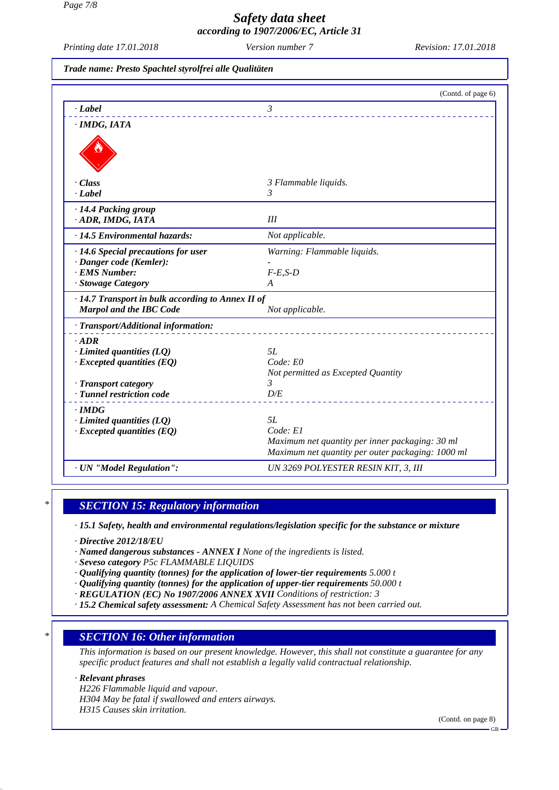*Page 7/8*

# *Safety data sheet according to 1907/2006/EC, Article 31*

*Printing date 17.01.2018 Version number 7 Revision: 17.01.2018*

#### *Trade name: Presto Spachtel styrolfrei alle Qualitäten*

|                                                                                           | (Contd. of page 6)                                |
|-------------------------------------------------------------------------------------------|---------------------------------------------------|
| $-Label$                                                                                  | $\mathfrak{Z}$                                    |
| · IMDG, IATA                                                                              |                                                   |
|                                                                                           |                                                   |
| $\cdot$ Class                                                                             | 3 Flammable liquids.                              |
| · Label                                                                                   | 3                                                 |
| · 14.4 Packing group<br>· ADR, IMDG, IATA                                                 | III                                               |
| · 14.5 Environmental hazards:                                                             | Not applicable.                                   |
| · 14.6 Special precautions for user                                                       | Warning: Flammable liquids.                       |
| · Danger code (Kemler):                                                                   |                                                   |
| · EMS Number:                                                                             | $F-E,S-D$                                         |
| · Stowage Category                                                                        | A                                                 |
| $\cdot$ 14.7 Transport in bulk according to Annex II of<br><b>Marpol and the IBC Code</b> | Not applicable.                                   |
| · Transport/Additional information:                                                       |                                                   |
| $-ADR$                                                                                    |                                                   |
| $\cdot$ Limited quantities (LQ)                                                           | 5L                                                |
| $\cdot$ Excepted quantities (EQ)                                                          | Code: E0                                          |
| · Transport category                                                                      | Not permitted as Excepted Quantity<br>3           |
| · Tunnel restriction code                                                                 | D/E                                               |
| $\cdot$ IMDG                                                                              |                                                   |
| $\cdot$ Limited quantities (LQ)                                                           | 5L                                                |
| $\cdot$ Excepted quantities (EQ)                                                          | Code: El                                          |
|                                                                                           | Maximum net quantity per inner packaging: 30 ml   |
|                                                                                           | Maximum net quantity per outer packaging: 1000 ml |
| · UN "Model Regulation":                                                                  | UN 3269 POLYESTER RESIN KIT, 3, III               |

## *\* SECTION 15: Regulatory information*

*· 15.1 Safety, health and environmental regulations/legislation specific for the substance or mixture*

*· Directive 2012/18/EU*

*· Named dangerous substances - ANNEX I None of the ingredients is listed.*

*· Seveso category P5c FLAMMABLE LIQUIDS*

- *· Qualifying quantity (tonnes) for the application of lower-tier requirements 5.000 t*
- *· Qualifying quantity (tonnes) for the application of upper-tier requirements 50.000 t*
- *· REGULATION (EC) No 1907/2006 ANNEX XVII Conditions of restriction: 3*
- *· 15.2 Chemical safety assessment: A Chemical Safety Assessment has not been carried out.*

### *\* SECTION 16: Other information*

*This information is based on our present knowledge. However, this shall not constitute a guarantee for any specific product features and shall not establish a legally valid contractual relationship.*

#### *· Relevant phrases*

*H226 Flammable liquid and vapour. H304 May be fatal if swallowed and enters airways. H315 Causes skin irritation.*

(Contd. on page 8)

GB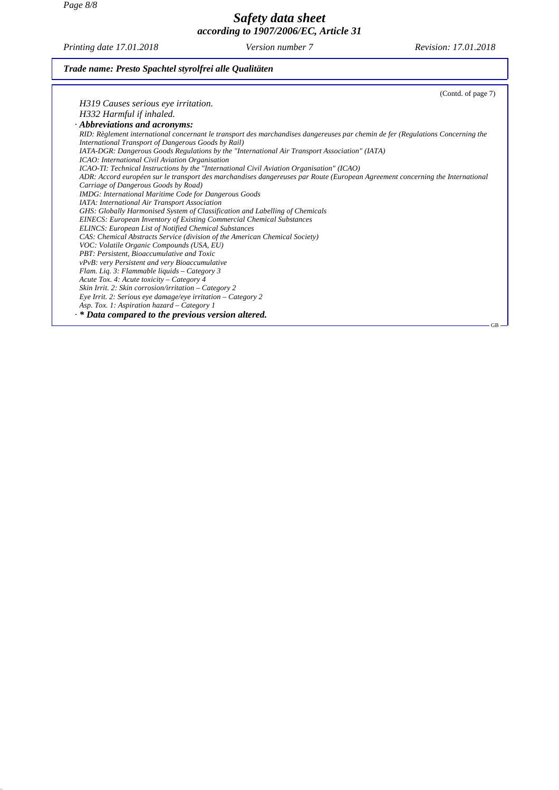*Page 8/8*

### *Safety data sheet according to 1907/2006/EC, Article 31*

*Printing date 17.01.2018 Version number 7 Revision: 17.01.2018*

### *Trade name: Presto Spachtel styrolfrei alle Qualitäten*

| (Contd. of page 7)                                                                                                              |
|---------------------------------------------------------------------------------------------------------------------------------|
| H319 Causes serious eye irritation.                                                                                             |
| H332 Harmful if inhaled.                                                                                                        |
| $\cdot$ Abbreviations and acronyms:                                                                                             |
| RID: Règlement international concernant le transport des marchandises dangereuses par chemin de fer (Regulations Concerning the |
| International Transport of Dangerous Goods by Rail)                                                                             |
| IATA-DGR: Dangerous Goods Regulations by the "International Air Transport Association" (IATA)                                   |
| ICAO: International Civil Aviation Organisation                                                                                 |
| ICAO-TI: Technical Instructions by the "International Civil Aviation Organisation" (ICAO)                                       |
| ADR: Accord européen sur le transport des marchandises dangereuses par Route (European Agreement concerning the International   |
| Carriage of Dangerous Goods by Road)                                                                                            |
| <b>IMDG</b> : International Maritime Code for Dangerous Goods                                                                   |
| IATA: International Air Transport Association                                                                                   |
| GHS: Globally Harmonised System of Classification and Labelling of Chemicals                                                    |
| <b>EINECS:</b> European Inventory of Existing Commercial Chemical Substances                                                    |
| <b>ELINCS: European List of Notified Chemical Substances</b>                                                                    |
| CAS: Chemical Abstracts Service (division of the American Chemical Society)                                                     |
| VOC: Volatile Organic Compounds (USA, EU)                                                                                       |
| PBT: Persistent, Bioaccumulative and Toxic                                                                                      |
| vPvB: very Persistent and very Bioaccumulative                                                                                  |
| Flam. Liq. 3: Flammable liquids - Category 3                                                                                    |
| Acute Tox. 4: Acute toxicity – Category 4                                                                                       |
| Skin Irrit. 2: Skin corrosion/irritation – Category 2                                                                           |
| Eye Irrit. 2: Serious eye damage/eye irritation $-$ Category 2                                                                  |
| Asp. Tox. 1: Aspiration hazard – Category 1                                                                                     |
| $\cdot *$ Data compared to the previous version altered.                                                                        |
| $-GB -$                                                                                                                         |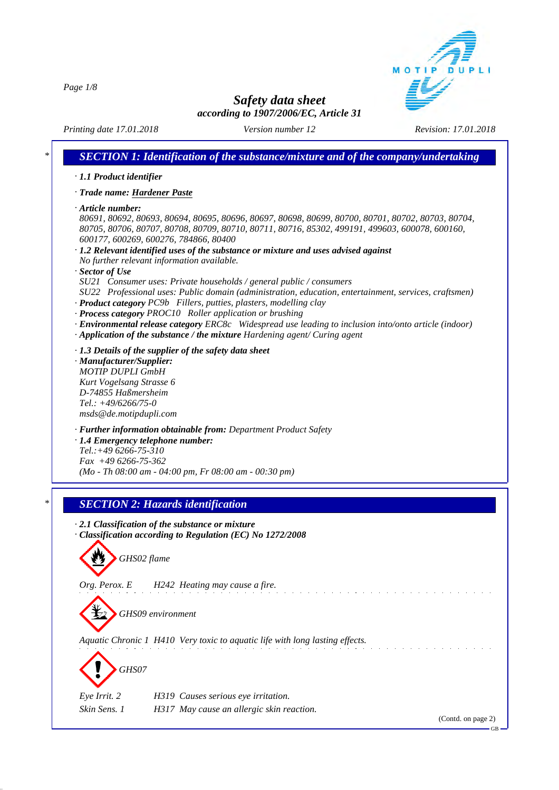*Page 1/8*



*Safety data sheet according to 1907/2006/EC, Article 31*

*Printing date 17.01.2018 Version number 12 Revision: 17.01.2018*

|                                                     | · 1.1 Product identifier                                                                              |
|-----------------------------------------------------|-------------------------------------------------------------------------------------------------------|
| · Trade name: Hardener Paste                        |                                                                                                       |
| $\cdot$ Article number:                             |                                                                                                       |
|                                                     | 80691, 80692, 80693, 80694, 80695, 80696, 80697, 80698, 80699, 80700, 80701, 80702, 80703, 80704,     |
|                                                     | 80705, 80706, 80707, 80708, 80709, 80710, 80711, 80716, 85302, 499191, 499603, 600078, 600160,        |
|                                                     | 600177, 600269, 600276, 784866, 80400                                                                 |
|                                                     | · 1.2 Relevant identified uses of the substance or mixture and uses advised against                   |
| · Sector of Use                                     | No further relevant information available.                                                            |
|                                                     | SU21 Consumer uses: Private households / general public / consumers                                   |
|                                                     | SU22 Professional uses: Public domain (administration, education, entertainment, services, craftsmen) |
|                                                     | · Product category PC9b Fillers, putties, plasters, modelling clay                                    |
|                                                     | · Process category PROC10 Roller application or brushing                                              |
|                                                     | · Environmental release category ERC8c Widespread use leading to inclusion into/onto article (indoor) |
|                                                     | · Application of the substance / the mixture Hardening agent/ Curing agent                            |
|                                                     | $\cdot$ 1.3 Details of the supplier of the safety data sheet                                          |
| · Manufacturer/Supplier:                            |                                                                                                       |
| <b>MOTIP DUPLI GmbH</b><br>Kurt Vogelsang Strasse 6 |                                                                                                       |
| D-74855 Haßmersheim                                 |                                                                                                       |
| Tel.: $+49/6266/75-0$                               |                                                                                                       |
| msds@de.motipdupli.com                              |                                                                                                       |
|                                                     | · Further information obtainable from: Department Product Safety                                      |
|                                                     | · 1.4 Emergency telephone number:                                                                     |
| Tel.:+49 6266-75-310                                |                                                                                                       |
| $Fax +496266-75-362$                                | (Mo - Th 08:00 am - 04:00 pm, Fr 08:00 am - 00:30 pm)                                                 |
|                                                     |                                                                                                       |
|                                                     |                                                                                                       |
|                                                     | <b>SECTION 2: Hazards identification</b>                                                              |
|                                                     | $\cdot$ 2.1 Classification of the substance or mixture                                                |
|                                                     | Classification according to Regulation (EC) No 1272/2008                                              |
|                                                     |                                                                                                       |
| GHS02 flame                                         |                                                                                                       |
|                                                     |                                                                                                       |
|                                                     |                                                                                                       |
|                                                     | H242 Heating may cause a fire.                                                                        |
| Org. Perox. E                                       |                                                                                                       |
|                                                     | GHS09 environment                                                                                     |
|                                                     |                                                                                                       |
|                                                     |                                                                                                       |
|                                                     | Aquatic Chronic 1 H410 Very toxic to aquatic life with long lasting effects.                          |
|                                                     |                                                                                                       |
| GHS07                                               |                                                                                                       |
|                                                     |                                                                                                       |
| Eye Irrit. 2<br>Skin Sens. 1                        | H319 Causes serious eye irritation.<br>H317 May cause an allergic skin reaction.                      |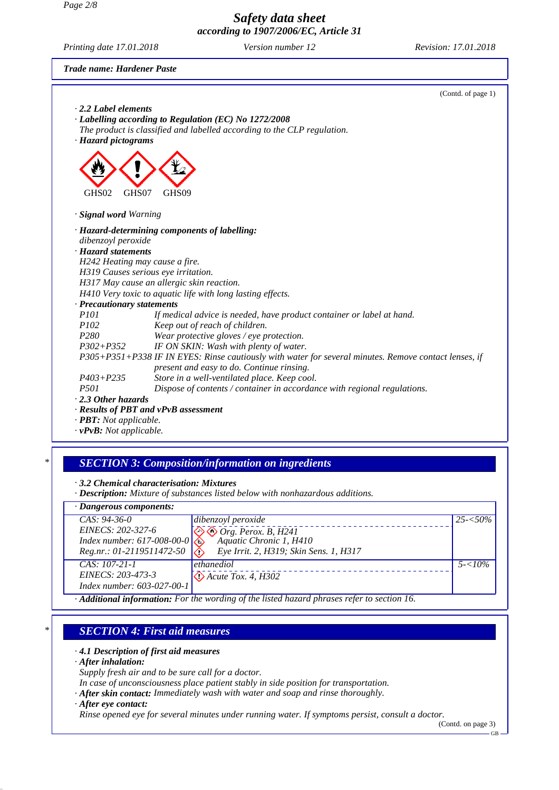*Page 2/8*

*Safety data sheet according to 1907/2006/EC, Article 31*

*Printing date 17.01.2018 Version number 12 Revision: 17.01.2018*

*Trade name: Hardener Paste*



#### *· 4.1 Description of first aid measures*

#### *· After inhalation:*

- *Supply fresh air and to be sure call for a doctor.*
- *In case of unconsciousness place patient stably in side position for transportation.*
- *· After skin contact: Immediately wash with water and soap and rinse thoroughly.*
- *· After eye contact:*

*Rinse opened eye for several minutes under running water. If symptoms persist, consult a doctor.*

(Contd. on page 3)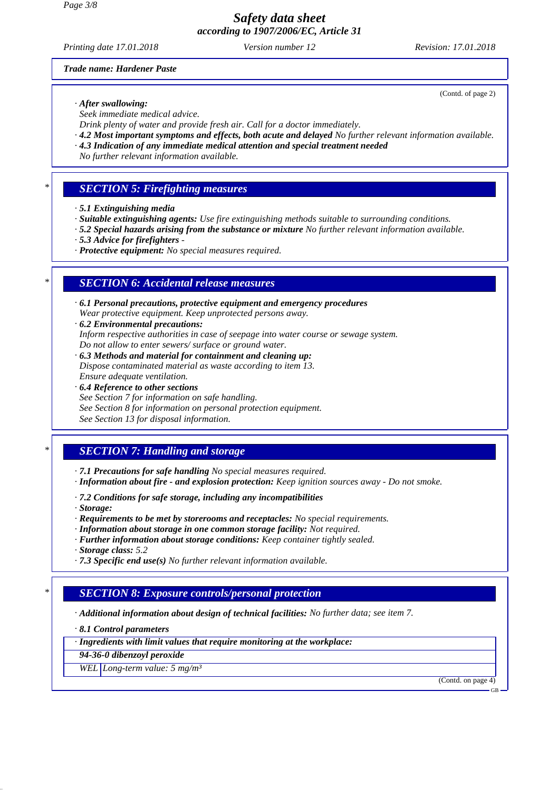*Printing date 17.01.2018 Version number 12 Revision: 17.01.2018*

(Contd. of page 2)

#### *Trade name: Hardener Paste*

*· After swallowing:*

*Seek immediate medical advice.*

*Drink plenty of water and provide fresh air. Call for a doctor immediately.*

- *· 4.2 Most important symptoms and effects, both acute and delayed No further relevant information available.*
- *· 4.3 Indication of any immediate medical attention and special treatment needed*
- *No further relevant information available.*

#### *\* SECTION 5: Firefighting measures*

- *· 5.1 Extinguishing media*
- *· Suitable extinguishing agents: Use fire extinguishing methods suitable to surrounding conditions.*
- *· 5.2 Special hazards arising from the substance or mixture No further relevant information available.*
- *· 5.3 Advice for firefighters*
- *· Protective equipment: No special measures required.*

### *\* SECTION 6: Accidental release measures*

- *· 6.1 Personal precautions, protective equipment and emergency procedures Wear protective equipment. Keep unprotected persons away.*
- *· 6.2 Environmental precautions:*

*Inform respective authorities in case of seepage into water course or sewage system. Do not allow to enter sewers/ surface or ground water.*

- *· 6.3 Methods and material for containment and cleaning up: Dispose contaminated material as waste according to item 13. Ensure adequate ventilation.*
- *· 6.4 Reference to other sections*
- *See Section 7 for information on safe handling.*
- *See Section 8 for information on personal protection equipment.*
- *See Section 13 for disposal information.*

### *\* SECTION 7: Handling and storage*

- *· 7.1 Precautions for safe handling No special measures required.*
- *· Information about fire and explosion protection: Keep ignition sources away Do not smoke.*
- *· 7.2 Conditions for safe storage, including any incompatibilities*

*· Storage:*

- *· Requirements to be met by storerooms and receptacles: No special requirements.*
- *· Information about storage in one common storage facility: Not required.*
- *· Further information about storage conditions: Keep container tightly sealed. · Storage class: 5.2*
- *· 7.3 Specific end use(s) No further relevant information available.*

### *\* SECTION 8: Exposure controls/personal protection*

*· Additional information about design of technical facilities: No further data; see item 7.*

*· 8.1 Control parameters*

*· Ingredients with limit values that require monitoring at the workplace:*

*94-36-0 dibenzoyl peroxide WEL Long-term value: 5 mg/m³*

(Contd. on page 4)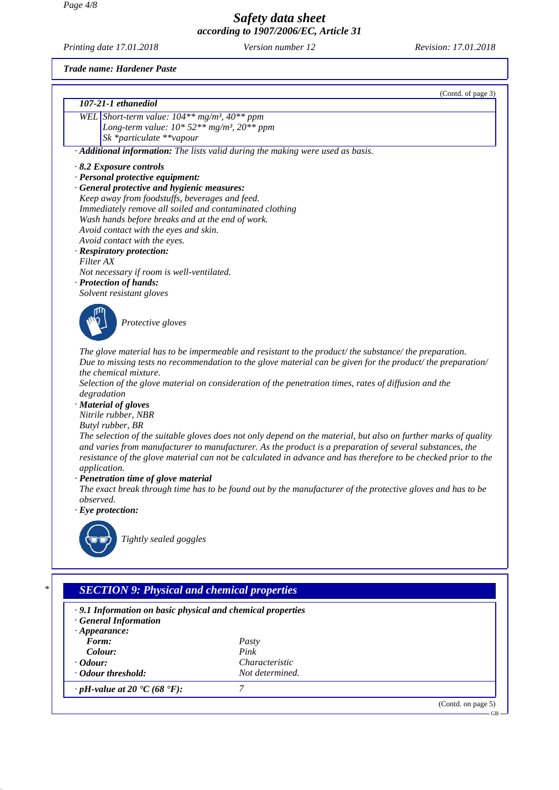*Printing date 17.01.2018 Version number 12 Revision: 17.01.2018*

*· Odour threshold: Not determined.*

*· pH-value at 20 °C (68 °F): 7* 

*Trade name: Hardener Paste*

|                                                      | (Contd. of page 3)                                                                                              |
|------------------------------------------------------|-----------------------------------------------------------------------------------------------------------------|
| 107-21-1 ethanediol                                  |                                                                                                                 |
| WEL Short-term value: $104**mg/m^3$ , $40**ppm$      |                                                                                                                 |
|                                                      | Long-term value: $10*52**mg/m^3$ , $20**ppm$                                                                    |
| Sk *particulate **vapour                             |                                                                                                                 |
|                                                      | · Additional information: The lists valid during the making were used as basis.                                 |
| 8.2 Exposure controls                                |                                                                                                                 |
| · Personal protective equipment:                     |                                                                                                                 |
| · General protective and hygienic measures:          |                                                                                                                 |
| Keep away from foodstuffs, beverages and feed.       |                                                                                                                 |
|                                                      | Immediately remove all soiled and contaminated clothing                                                         |
| Wash hands before breaks and at the end of work.     |                                                                                                                 |
| Avoid contact with the eyes and skin.                |                                                                                                                 |
| Avoid contact with the eyes.                         |                                                                                                                 |
| · Respiratory protection:                            |                                                                                                                 |
| Filter AX                                            |                                                                                                                 |
| Not necessary if room is well-ventilated.            |                                                                                                                 |
| · Protection of hands:                               |                                                                                                                 |
| Solvent resistant gloves                             |                                                                                                                 |
|                                                      |                                                                                                                 |
| Protective gloves                                    |                                                                                                                 |
|                                                      |                                                                                                                 |
|                                                      |                                                                                                                 |
|                                                      | The glove material has to be impermeable and resistant to the product/the substance/the preparation.            |
|                                                      | Due to missing tests no recommendation to the glove material can be given for the product/ the preparation/     |
| the chemical mixture.                                |                                                                                                                 |
|                                                      | Selection of the glove material on consideration of the penetration times, rates of diffusion and the           |
| degradation                                          |                                                                                                                 |
| · Material of gloves                                 |                                                                                                                 |
| Nitrile rubber, NBR                                  |                                                                                                                 |
| Butyl rubber, BR                                     |                                                                                                                 |
|                                                      | The selection of the suitable gloves does not only depend on the material, but also on further marks of quality |
|                                                      | and varies from manufacturer to manufacturer. As the product is a preparation of several substances, the        |
|                                                      | resistance of the glove material can not be calculated in advance and has therefore to be checked prior to the  |
| application.<br>· Penetration time of glove material |                                                                                                                 |
|                                                      |                                                                                                                 |
| observed.                                            | The exact break through time has to be found out by the manufacturer of the protective gloves and has to be     |
| $\cdot$ Eye protection:                              |                                                                                                                 |
|                                                      |                                                                                                                 |
|                                                      |                                                                                                                 |
| Tightly sealed goggles                               |                                                                                                                 |
|                                                      |                                                                                                                 |
|                                                      |                                                                                                                 |
|                                                      |                                                                                                                 |
|                                                      | <b>SECTION 9: Physical and chemical properties</b>                                                              |
|                                                      |                                                                                                                 |
|                                                      | .9.1 Information on basic physical and chemical properties                                                      |
| <b>General Information</b>                           |                                                                                                                 |
| $\cdot$ Appearance:                                  |                                                                                                                 |
| Form:                                                | Pasty                                                                                                           |
| Colour:                                              | Pink                                                                                                            |

*· Odour: Characteristic Characteristic · Odour threshold: Characteristic Not determined.* 

(Contd. on page 5)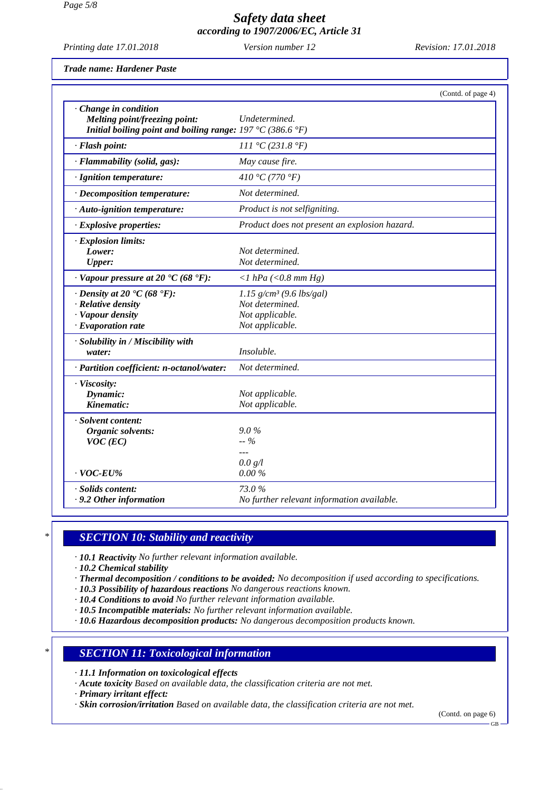*Printing date 17.01.2018 Version number 12 Revision: 17.01.2018*

*Trade name: Hardener Paste*

|                                                                                               | (Contd. of page 4)                            |
|-----------------------------------------------------------------------------------------------|-----------------------------------------------|
| · Change in condition<br>Melting point/freezing point:                                        | Undetermined.                                 |
| Initial boiling point and boiling range: $197 \text{ }^{\circ}C$ (386.6 $\text{ }^{\circ}F$ ) |                                               |
| · Flash point:                                                                                | 111 °C (231.8 °F)                             |
| · Flammability (solid, gas):                                                                  | May cause fire.                               |
| · Ignition temperature:                                                                       | 410 °C (770 °F)                               |
| · Decomposition temperature:                                                                  | Not determined.                               |
| $\cdot$ Auto-ignition temperature:                                                            | Product is not selfigniting.                  |
| $\cdot$ Explosive properties:                                                                 | Product does not present an explosion hazard. |
| · Explosion limits:                                                                           |                                               |
| Lower:                                                                                        | Not determined.                               |
| <b>Upper:</b>                                                                                 | Not determined.                               |
| $\cdot$ Vapour pressure at 20 $\cdot$ C (68 $\cdot$ F):                                       | $\langle$ 1 hPa ( $\langle$ 0.8 mm Hg)        |
| $\cdot$ Density at 20 $\cdot$ C (68 $\cdot$ F):                                               | $1.15$ g/cm <sup>3</sup> (9.6 lbs/gal)        |
| $\cdot$ Relative density                                                                      | Not determined.                               |
| · Vapour density                                                                              | Not applicable.                               |
| $\cdot$ Evaporation rate                                                                      | Not applicable.                               |
| · Solubility in / Miscibility with                                                            |                                               |
| water:                                                                                        | Insoluble.                                    |
| · Partition coefficient: n-octanol/water:                                                     | Not determined.                               |
| · Viscosity:                                                                                  |                                               |
| Dynamic:                                                                                      | Not applicable.                               |
| Kinematic:                                                                                    | Not applicable.                               |
| · Solvent content:                                                                            |                                               |
| Organic solvents:                                                                             | $9.0\%$                                       |
| $VOC$ (EC)                                                                                    | $-$ %                                         |
|                                                                                               |                                               |
|                                                                                               | 0.0 g/l                                       |
| $\cdot$ VOC-EU%                                                                               | 0.00%                                         |
| · Solids content:                                                                             | 73.0%                                         |
| .9.2 Other information                                                                        | No further relevant information available.    |

### *\* SECTION 10: Stability and reactivity*

*· 10.1 Reactivity No further relevant information available.*

*· 10.2 Chemical stability*

- *· Thermal decomposition / conditions to be avoided: No decomposition if used according to specifications.*
- *· 10.3 Possibility of hazardous reactions No dangerous reactions known.*
- *· 10.4 Conditions to avoid No further relevant information available.*
- *· 10.5 Incompatible materials: No further relevant information available.*

*· 10.6 Hazardous decomposition products: No dangerous decomposition products known.*

#### *\* SECTION 11: Toxicological information*

*· 11.1 Information on toxicological effects*

*· Acute toxicity Based on available data, the classification criteria are not met.*

*· Primary irritant effect:*

*· Skin corrosion/irritation Based on available data, the classification criteria are not met.*

(Contd. on page 6)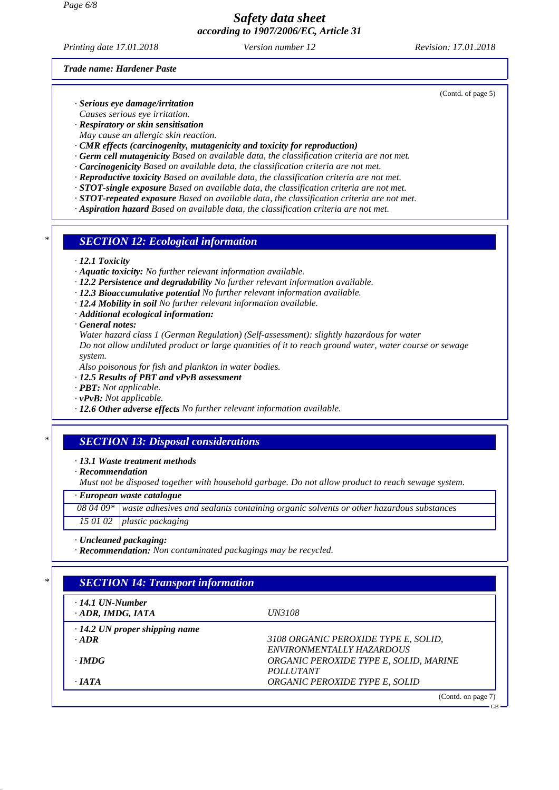*Printing date 17.01.2018 Version number 12 Revision: 17.01.2018*

*Trade name: Hardener Paste*

- *· Serious eye damage/irritation*
- *Causes serious eye irritation.*
- *· Respiratory or skin sensitisation May cause an allergic skin reaction.*
- *· CMR effects (carcinogenity, mutagenicity and toxicity for reproduction)*
- *· Germ cell mutagenicity Based on available data, the classification criteria are not met.*
- *· Carcinogenicity Based on available data, the classification criteria are not met.*
- *· Reproductive toxicity Based on available data, the classification criteria are not met.*
- *· STOT-single exposure Based on available data, the classification criteria are not met.*
- *· STOT-repeated exposure Based on available data, the classification criteria are not met.*
- *· Aspiration hazard Based on available data, the classification criteria are not met.*
- *\* SECTION 12: Ecological information*
- *· 12.1 Toxicity*
- *· Aquatic toxicity: No further relevant information available.*
- *· 12.2 Persistence and degradability No further relevant information available.*
- *· 12.3 Bioaccumulative potential No further relevant information available.*
- *· 12.4 Mobility in soil No further relevant information available.*
- *· Additional ecological information:*
- *· General notes:*

*Water hazard class 1 (German Regulation) (Self-assessment): slightly hazardous for water*

*Do not allow undiluted product or large quantities of it to reach ground water, water course or sewage system.*

*Also poisonous for fish and plankton in water bodies.*

- *· 12.5 Results of PBT and vPvB assessment*
- *· PBT: Not applicable.*
- *· vPvB: Not applicable.*
- *· 12.6 Other adverse effects No further relevant information available.*

### *\* SECTION 13: Disposal considerations*

*· 13.1 Waste treatment methods*

*· Recommendation*

*Must not be disposed together with household garbage. Do not allow product to reach sewage system.*

#### *· European waste catalogue*

*08 04 09\* waste adhesives and sealants containing organic solvents or other hazardous substances 15 01 02 plastic packaging*

*· Uncleaned packaging:*

*· Recommendation: Non contaminated packagings may be recycled.*

## *\* SECTION 14: Transport information*

| $\cdot$ 14.1 UN-Number<br>$\cdot$ ADR, IMDG, IATA | <i>UN3108</i>                          |
|---------------------------------------------------|----------------------------------------|
| $\cdot$ 14.2 UN proper shipping name              |                                        |
| $-ADR$                                            | 3108 ORGANIC PEROXIDE TYPE E, SOLID,   |
|                                                   | ENVIRONMENTALLY HAZARDOUS              |
| $\cdot$ IMDG                                      | ORGANIC PEROXIDE TYPE E, SOLID, MARINE |
|                                                   | <i>POLLUTANT</i>                       |
| $\cdot$ JATA                                      | ORGANIC PEROXIDE TYPE E, SOLID         |
|                                                   | (Contd. on page 7)                     |

(Contd. of page 5)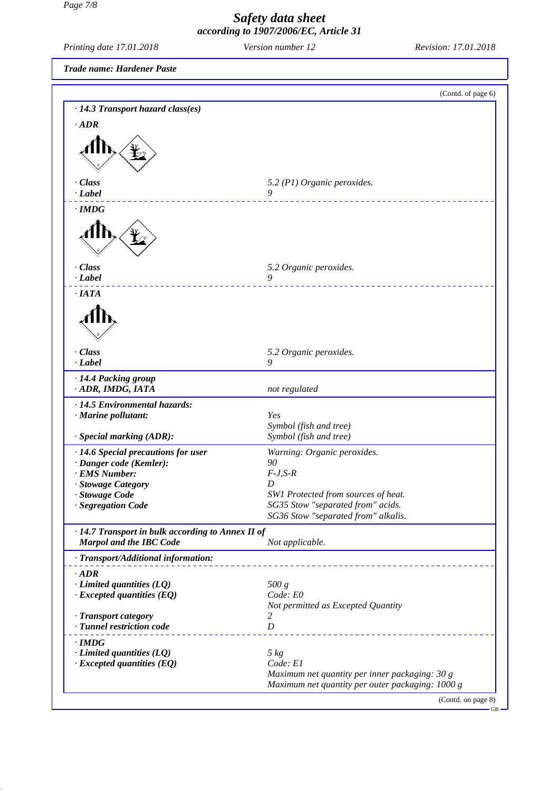*Page 7/8*

L

## *Safety data sheet according to 1907/2006/EC, Article 31*

| Printing date 17.01.2018                                                            | Version number 12                                                                                                          | Revision: 17.01.2018         |
|-------------------------------------------------------------------------------------|----------------------------------------------------------------------------------------------------------------------------|------------------------------|
| <b>Trade name: Hardener Paste</b>                                                   |                                                                                                                            |                              |
|                                                                                     |                                                                                                                            | (Contd. of page 6)           |
| · 14.3 Transport hazard class(es)<br>$\cdot$ <i>ADR</i>                             |                                                                                                                            |                              |
|                                                                                     |                                                                                                                            |                              |
| · Class<br>$\cdot$ Label                                                            | 5.2 (P1) Organic peroxides.<br>9                                                                                           | <u>a a a a a a a a a a a</u> |
| $\cdot$ IMDG                                                                        |                                                                                                                            |                              |
|                                                                                     |                                                                                                                            |                              |
| $\cdot$ Class<br>$\cdot$ Label                                                      | 5.2 Organic peroxides.<br>9                                                                                                |                              |
| $\cdot$ IATA                                                                        |                                                                                                                            |                              |
|                                                                                     |                                                                                                                            |                              |
| · Class<br>$\cdot$ Label                                                            | 5.2 Organic peroxides.<br>9                                                                                                |                              |
| · 14.4 Packing group<br>· ADR, IMDG, IATA                                           | not regulated                                                                                                              |                              |
| · 14.5 Environmental hazards:<br>· Marine pollutant:                                | <b>Yes</b><br>Symbol (fish and tree)<br>Symbol (fish and tree)                                                             |                              |
| · Special marking (ADR):                                                            |                                                                                                                            |                              |
| · 14.6 Special precautions for user<br>· Danger code (Kemler):<br>· EMS Number:     | Warning: Organic peroxides.<br>90<br>$F-J, S-R$                                                                            |                              |
| · Stowage Category<br>· Stowage Code<br>· Segregation Code                          | D<br>SW1 Protected from sources of heat.<br>SG35 Stow "separated from" acids.                                              |                              |
| · 14.7 Transport in bulk according to Annex II of<br><b>Marpol and the IBC Code</b> | SG36 Stow "separated from" alkalis.<br>Not applicable.                                                                     |                              |
| · Transport/Additional information:                                                 |                                                                                                                            |                              |
| $\cdot$ ADR<br>$\cdot$ Limited quantities (LQ)<br>$\cdot$ Excepted quantities (EQ)  | 500 g<br>Code: E0<br>Not permitted as Excepted Quantity                                                                    |                              |
| · Transport category<br>· Tunnel restriction code                                   | 2<br>$\boldsymbol{D}$                                                                                                      |                              |
| $\cdot$ IMDG<br>$\cdot$ Limited quantities (LQ)<br>$\cdot$ Excepted quantities (EQ) | $5 \ kg$<br>Code: E1<br>Maximum net quantity per inner packaging: 30 g<br>Maximum net quantity per outer packaging: 1000 g |                              |
|                                                                                     |                                                                                                                            | (Contd. on page 8)<br>$GB -$ |